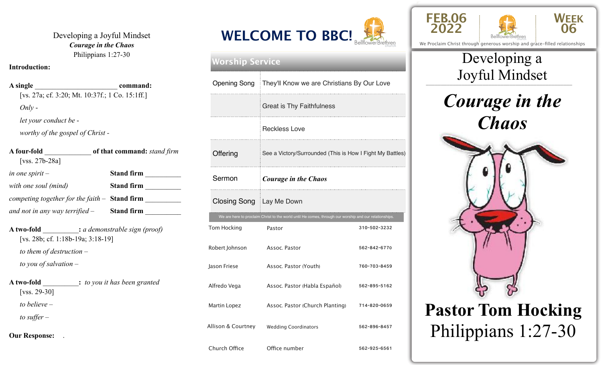Developing a Joyful Mindset *Courage in the Chaos*  Philippians 1:27-30

#### **Introduction:**

**A single** \_\_\_\_\_\_\_\_\_\_\_\_\_\_\_\_\_\_\_\_\_\_\_ **command:** [vs. 27a; cf. 3:20; Mt. 10:37f.; 1 Co. 15:1ff.] *Only let your conduct be worthy of the gospel of Christ -*  **A four-fold** \_\_\_\_\_\_\_\_\_\_\_\_\_ **of that command:** *stand firm*

| [ $vss. 27b-28a$ ]                                                                                                                                     |                   |
|--------------------------------------------------------------------------------------------------------------------------------------------------------|-------------------|
| in one spirit $-$                                                                                                                                      | <b>Stand firm</b> |
| with one soul (mind)                                                                                                                                   | <b>Stand firm</b> |
| competing together for the faith $-$ <b>Stand firm</b>                                                                                                 |                   |
| and not in any way terrified $-$ Stand firm                                                                                                            |                   |
| <b>A two-fold</b> _________: a demonstrable sign (proof)<br>[vs. 28b; cf. 1:18b-19a; 3:18-19]<br>to them of destruction $-$<br>to you of salvation $-$ |                   |
| <b>A</b> two-fold : to you it has been granted<br>[vss. 29-30]                                                                                         |                   |
| to believe $-$                                                                                                                                         |                   |
| to suffer $-$                                                                                                                                          |                   |
|                                                                                                                                                        |                   |

**<sup>2022</sup> WELCOME TO BBC!** BellflowerBrethren

#### **Worship Service**

|                    | Opening Song   They'll Know we are Christians By Our Love                                              |              |  |  |
|--------------------|--------------------------------------------------------------------------------------------------------|--------------|--|--|
|                    | <b>Great is Thy Faithfulness</b>                                                                       |              |  |  |
|                    | <b>Reckless Love</b>                                                                                   |              |  |  |
| Offering           | See a Victory/Surrounded (This is How I Fight My Battles)                                              |              |  |  |
| Sermon             | <b>Courage in the Chaos</b>                                                                            |              |  |  |
|                    | Closing Song   Lay Me Down                                                                             |              |  |  |
|                    | We are here to proclaim Christ to the world until He comes, through our worship and our relationships. |              |  |  |
| Tom Hocking        | Pastor                                                                                                 | 310-502-3232 |  |  |
| Robert Johnson     | Assoc. Pastor                                                                                          | 562-842-6770 |  |  |
| Jason Friese       | Assoc. Pastor (Youth)                                                                                  | 760-703-8459 |  |  |
| Alfredo Vega       | Assoc. Pastor (Habla Español)                                                                          | 562-895-5162 |  |  |
| Martin Lopez       | Assoc. Pastor (Church Planting)                                                                        | 714-820-0659 |  |  |
| Allison & Courtney | <b>Wedding Coordinators</b>                                                                            | 562-896-8457 |  |  |
| Church Office      | Office number                                                                                          | 562-925-6561 |  |  |





We Proclaim Christ through generous worship and grace-filled relationships

# \_\_\_\_\_\_\_\_\_\_\_\_\_\_\_\_\_\_\_\_\_\_\_\_\_\_\_\_\_\_\_\_\_\_\_\_\_\_\_\_\_\_\_\_\_\_\_\_\_ Joyful Mindset Developing a





**Our Response:** .